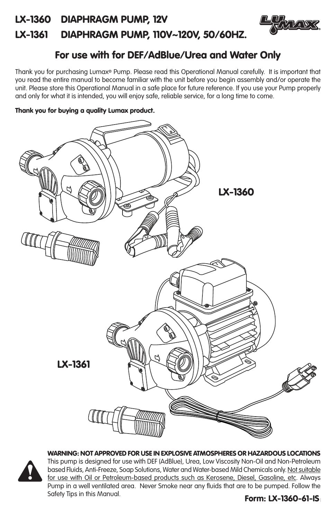# LX-1360 DIAPHRAGM PUMP, 12V LX-1361 DIAPHRAGM PUMP, 110V~120V, 50/60HZ.



# For use with for DEF/AdBlue/Urea and Water Only

Thank you for purchasing Lumax® Pump. Please read this Operational Manual carefully. It is important that you read the entire manual to become familiar with the unit before you begin assembly and/or operate the unit. Please store this Operational Manual in a safe place for future reference. If you use your Pump properly and only for what it is intended, you will enjoy safe, reliable service, for a long time to come.

# Thank you for buying a quality Lumax product.





WARNING: NOT APPROVED FOR USE IN EXPLOSIVE ATMOSPHERES OR HAZARDOUS LOCATIONS This pump is designed for use with DEF (AdBlue), Urea, Low Viscosity Non-Oil and Non-Petroleum based Fluids, Anti-Freeze, Soap Solutions, Water and Water-based Mild Chemicals only. Not suitable for use with Oil or Petroleum-based products such as Kerosene, Diesel, Gasoline, etc. Always Pump in a well ventilated area. Never Smoke near any fluids that are to be pumped. Follow the Safety Tips in this Manual.

# 1 Form: LX-1360-61-IS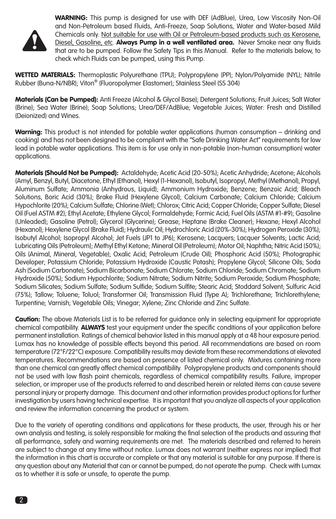

WARNING: This pump is designed for use with DEF (AdBlue), Urea, Low Viscosity Non-Oil and Non-Petroleum based Fluids, Anti-Freeze, Soap Solutions, Water and Water-based Mild Chemicals only. Not suitable for use with Oil or Petroleum-based products such as Kerosene, Diesel, Gasoline, etc. Always Pump in a well ventilated area. Never Smoke near any fluids that are to be pumped. Follow the Safety Tips in this Manual. Refer to the materials below, to check which Fluids can be pumped, using this Pump.

WETTED MATERIALS: Thermoplastic Polyurethane (TPU); Polypropylene (PP); Nylon/Polyamide (NYL); Nitrile Rubber (Buna-N/NBR); Viton® (Fluoropolymer Elastomer); Stainless Steel (SS 304)

Materials (Can be Pumped): Anti Freeze (Alcohol & Glycol Base); Detergent Solutions; Fruit Juices; Salt Water (Brine); Sea Water (Brine); Soap Solutions; Urea/DEF/AdBlue; Vegetable Juices; Water: Fresh and Distilled (Deionized) and Wines.

Warning: This product is not intended for potable water applications (human consumption – drinking and cooking) and has not been designed to be compliant with the "Safe Drinking Water Act" requirements for low lead in potable water applications. This item is for use only in non-potable (non-human consumption) water applications.

Materials (Should Not be Pumped): Actaldehyde; Acetic Acid (20-50%); Acetic Anhydride; Acetone; Alcohols (Amyl, Benzyl, Butyl, Diacetone, Ethyl (Ethanol), Hexyl (1-Hexanol), Isobutyl, Isopropyl, Methyl (Methanol), Propyl, Aluminum Sulfate; Ammonia (Anhydrous, Liquid); Ammonium Hydroxide; Benzene; Benzoic Acid; Bleach Solutions, Boric Acid (30%); Brake Fluid (Hexylene Glycol); Calcium Carbonate; Calcium Chloride; Calcium Hypochlorite (20%); Calcium Sulfate; Chlorine (Wet); Chlorox; Citric Acid; Copper Chloride; Copper Sulfate; Diesel Oil (Fuel ASTM #2); Ethyl Acetate; Ethylene Glycol; Formaldehyde; Formic Acid; Fuel Oils (ASTM #1-#9); Gasoline (Unleaded); Gasoline (Petrol); Glycerol (Glycerine); Grease; Heptane (Brake Cleaner); Hexane; Hexyl Alcohol (Hexanol); Hexylene Glycol (Brake Fluid); Hydraulic Oil; Hydrochloric Acid (20%-30%); Hydrogen Peroxide (30%); Isobutyl Alcohol; Isopropyl Alcohol; Jet Fuels (JP1 to JP6); Kerosene; Lacquers; Lacquer Solvents; Lactic Acid; Lubricating Oils (Petroleum); Methyl Ethyl Ketone; Mineral Oil (Petroleum); Motor Oil; Naphtha; Nitric Acid (50%); Oils (Animal, Mineral, Vegetable); Oxalic Acid; Petroleum (Crude Oil); Phosphoric Acid (50%); Photographic Developer; Potassium Chloride; Potassium Hydroxide (Caustic Potash); Propylene Glycol; Silicone Oils; Soda Ash (Sodium Carbonate); Sodium Bicarbonate; Sodium Chlorate; Sodium Chloride; Sodium Chromate; Sodium Hydroxide (50%); Sodium Hypochlorite; Sodium Nitrate; Sodium Nitrite; Sodium Peroxide; Sodium Phosphate; Sodium Silicates; Sodium Sulfate; Sodium Sulfide; Sodium Sulfite; Stearic Acid; Stoddard Solvent; Sulfuric Acid (75%); Tallow; Toluene; Toluol; Transformer Oil; Transmission Fluid (Type A); Trichlorethane; Trichlorethylene; Turpentine; Varnish; Vegetable Oils; Vinegar; Xylene; Zinc Chloride and Zinc Sulfate.

Caution: The above Materials List is to be referred for guidance only in selecting equipment for appropriate chemical compatibility. **ALWAYS** test your equipment under the specific conditions of your application before permanent installation. Ratings of chemical behavior listed in this manual apply at a 48 hour exposure period. Lumax has no knowledge of possible effects beyond this period. All recommendations are based on room temperature (72°F/22°C) exposure. Compatibility results may deviate from these recommendations at elevated temperatures. Recommendations are based on presence of listed chemical only. Mixtures containing more than one chemical can greatly affect chemical compatibility. Polypropylene products and components should not be used with low flash point chemicals, regardless of chemical compatibility results. Failure, improper selection, or improper use of the products referred to and described herein or related items can cause severe personal injury or property damage. This document and other information provides product options for further investigation by users having technical expertise. It is important that you analyze all aspects of your application and review the information concerning the product or system.

Due to the variety of operating conditions and applications for these products, the user, through his or her own analysis and testing, is solely responsible for making the final selection of the products and assuring that all performance, safety and warning requirements are met. The materials described and referred to herein are subject to change at any time without notice. Lumax does not warrant (neither express nor implied) that the information in this chart is accurate or complete or that any material is suitable for any purpose. If there is any question about any Material that can or cannot be pumped, do not operate the pump. Check with Lumax as to whether it is safe or unsafe, to operate the pump.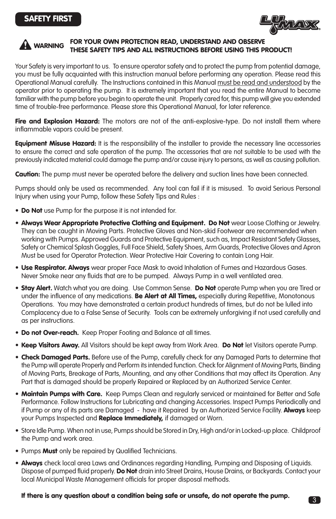

# WARNING FOR YOUR OWN PROTECTION READ, UNDERSTAND AND OBSERVE THESE SAFETY TIPS AND ALL INSTRUCTIONS BEFORE USING THIS PRODUCT!  $\blacktriangle$

Your Safety is very important to us. To ensure operator safety and to protect the pump from potential damage, you must be fully acquainted with this instruction manual before performing any operation. Please read this Operational Manual carefully. The Instructions contained in this Manual must be read and understood by the operator prior to operating the pump. It is extremely important that you read the entire Manual to become familiar with the pump before you begin to operate the unit. Properly cared for, this pump will give you extended time of trouble-free performance. Please store this Operational Manual, for later reference.

Fire and Explosion Hazard: The motors are not of the anti-explosive-type. Do not install them where inflammable vapors could be present.

**Equipment Misuse Hazard:** It is the responsibility of the installer to provide the necessary line accessories to ensure the correct and safe operation of the pump. The accessories that are not suitable to be used with the previously indicated material could damage the pump and/or cause injury to persons, as well as causing pollution.

Caution: The pump must never be operated before the delivery and suction lines have been connected.

Pumps should only be used as recommended. Any tool can fail if it is misused. To avoid Serious Personal Injury when using your Pump, follow these Safety Tips and Rules :

- Do Not use Pump for the purpose it is not intended for.
- Always Wear Appropriate Protective Clothing and Equipment. Do Not wear Loose Clothing or Jewelry. They can be caught in Moving Parts. Protective Gloves and Non-skid Footwear are recommended when working with Pumps. Approved Guards and Protective Equipment, such as, Impact Resistant Safety Glasses, Safety or Chemical Splash Goggles, Full Face Shield, Safety Shoes, Arm Guards, Protective Gloves and Apron Must be used for Operator Protection. Wear Protective Hair Covering to contain Long Hair.
- Use Respirator. Always wear proper Face Mask to avoid Inhalation of Fumes and Hazardous Gases. Never Smoke near any fluids that are to be pumped. Always Pump in a well ventilated area.
- **Stay Alert.** Watch what you are doing. Use Common Sense. Do Not operate Pump when you are Tired or under the influence of any medications. **Be Alert at All Times,** especially during Repetitive, Monotonous Operations. You may have demonstrated a certain product hundreds of times, but do not be lulled into Complacency due to a False Sense of Security. Tools can be extremely unforgiving if not used carefully and as per instructions.
- **Do not Over-reach.** Keep Proper Footing and Balance at all times.
- Keep Visitors Away. All Visitors should be kept away from Work Area. Do Not let Visitors operate Pump.
- Check Damaged Parts. Before use of the Pump, carefully check for any Damaged Parts to determine that the Pump will operate Properly and Perform its intended function. Check for Alignment of Moving Parts, Binding of Moving Parts, Breakage of Parts, Mounting, and any other Conditions that may affect its Operation. Any Part that is damaged should be properly Repaired or Replaced by an Authorized Service Center.
- Maintain Pumps with Care. Keep Pumps Clean and regularly serviced or maintained for Better and Safe Performance. Follow Instructions for Lubricating and changing Accessories. Inspect Pumps Periodically and if Pump or any of its parts are Damaged - have it Repaired by an Authorized Service Facility. Always keep your Pumps Inspected and Replace Immediately, if damaged or Worn.
- Store Idle Pump. When not in use, Pumps should be Stored in Dry, High and/or in Locked-up place. Childproof the Pump and work area.
- Pumps **Must** only be repaired by Qualified Technicians.
- Always check local area Laws and Ordinances regarding Handling, Pumping and Disposing of Liquids. Dispose of pumped fluid properly. Do Not drain into Street Drains, House Drains, or Backyards. Contact your local Municipal Waste Management officials for proper disposal methods.

## If there is any question about a condition being safe or unsafe, do not operate the pump.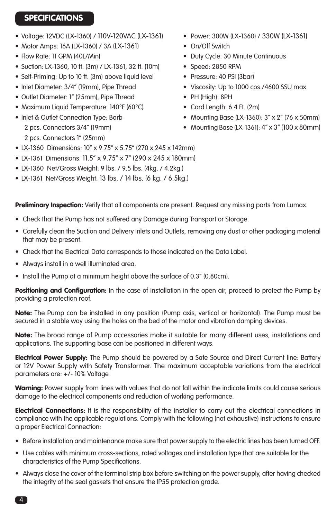# **SPECIFICATIONS**

- Voltage: 12VDC (LX-1360) / 110V-120VAC (LX-1361) Power: 300W (LX-1360) / 330W (LX-1361)
- Motor Amps: 16A (LX-1360) / 3A (LX-1361) On/Off Switch
- 
- Suction: LX-1360, 10 ft. (3m) / LX-1361, 32 ft. (10m) Speed: 2850 RPM
- Self-Priming: Up to 10 ft. (3m) above liquid level Pressure: 40 PSI (3bar)
- 
- Outlet Diameter: 1" (25mm), Pipe Thread PH (High): 8PH
- Maximum Liquid Temperature: 140°F (60°C) Cord Length: 6.4 Ft. (2m)
- 2 pcs. Connectors 1" (25mm)
- 
- 
- Flow Rate: 11 GPM (40L/Min) Duty Cycle: 30 Minute Continuous
	-
	-
- Inlet Diameter: 3/4" (19mm), Pipe Thread Viscosity: Up to 1000 cps./4600 SSU max.
	-
	-
- Inlet & Outlet Connection Type: Barb Mounting Base (LX-1360): 3" x 2" (76 x 50mm)
	- 2 pcs. Connectors 3/4" (19mm) Mounting Base (LX-1361): 4" x 3" (100 x 80mm)
	-
- LX-1360 Dimensions: 10" x 9.75" x 5.75" (270 x 245 x 142mm)
- IX-1361 Dimensions: 11.5" x 9.75" x 7" (290 x 245 x 180mm)
- LX-1360 Net/Gross Weight: 9 lbs. / 9.5 lbs. (4kg. / 4.2kg.)
- LX-1361 Net/Gross Weight: 13 lbs. / 14 lbs. (6 kg. / 6.5kg.)

**Preliminary Inspection:** Verify that all components are present. Request any missing parts from Lumax.

- Check that the Pump has not suffered any Damage during Transport or Storage.
- Carefully clean the Suction and Delivery Inlets and Outlets, removing any dust or other packaging material that may be present.
- Check that the Electrical Data corresponds to those indicated on the Data Label.
- Always install in a well illuminated area.
- Install the Pump at a minimum height above the surface of 0.3" (0.80cm).

Positioning and Configuration: In the case of installation in the open air, proceed to protect the Pump by providing a protection roof.

Note: The Pump can be installed in any position (Pump axis, vertical or horizontal). The Pump must be secured in a stable way using the holes on the bed of the motor and vibration damping devices.

Note: The broad range of Pump accessories make it suitable for many different uses, installations and applications. The supporting base can be positioned in different ways.

**Electrical Power Supply:** The Pump should be powered by a Safe Source and Direct Current line: Battery or 12V Power Supply with Safety Transformer. The maximum acceptable variations from the electrical parameters are: +/- 10% Voltage

Warning: Power supply from lines with values that do not fall within the indicate limits could cause serious damage to the electrical components and reduction of working performance.

Electrical Connections: It is the responsibility of the installer to carry out the electrical connections in compliance with the applicable regulations. Comply with the following (not exhaustive) instructions to ensure a proper Electrical Connection:

- Before installation and maintenance make sure that power supply to the electric lines has been turned OFF.
- Use cables with minimum cross-sections, rated voltages and installation type that are suitable for the characteristics of the Pump Specifications.
- Always close the cover of the terminal strip box before switching on the power supply, after having checked the integrity of the seal gaskets that ensure the IP55 protection grade.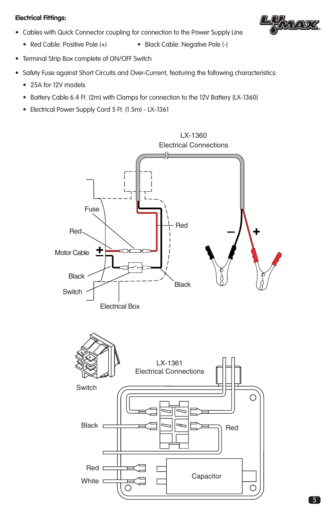# Electrical Fittings:

• Cables with Quick Connector coupling for connection to the Power Supply Line



- Red Cable: Positive Pole (+) Black Cable: Negative Pole (-)
	-
- Terminal Strip Box complete of ON/OFF Switch
- Safety Fuse against Short Circuits and Over-Current, featuring the following characteristics:
	- 25A for 12V models
	- Battery Cable 6.4 Ft. (2m) with Clamps for connection to the 12V Battery (LX-1360)
	- Electrical Power Supply Cord 5 Ft. (1.5m) LX-1361

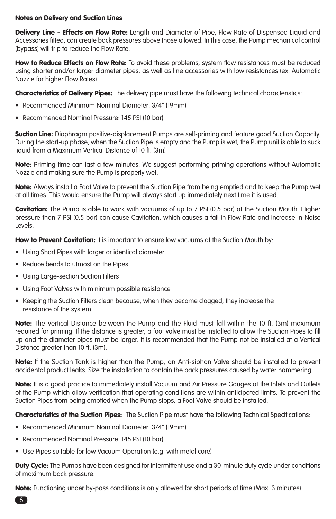# Notes on Delivery and Suction Lines

Delivery Line - Effects on Flow Rate: Length and Diameter of Pipe, Flow Rate of Dispensed Liquid and Accessories fitted, can create back pressures above those allowed. In this case, the Pump mechanical control (bypass) will trip to reduce the Flow Rate.

How to Reduce Effects on Flow Rate: To avoid these problems, system flow resistances must be reduced using shorter and/or larger diameter pipes, as well as line accessories with low resistances (ex. Automatic Nozzle for higher Flow Rates).

**Characteristics of Delivery Pipes:** The delivery pipe must have the following technical characteristics:

- Recommended Minimum Nominal Diameter: 3/4" (19mm)
- Recommended Nominal Pressure: 145 PSI (10 bar)

**Suction Line:** Diaphragm positive-displacement Pumps are self-priming and feature good Suction Capacity. During the start-up phase, when the Suction Pipe is empty and the Pump is wet, the Pump unit is able to suck liquid from a Maximum Vertical Distance of 10 ft. (3m)

Note: Priming time can last a few minutes. We suggest performing priming operations without Automatic Nozzle and making sure the Pump is properly wet.

Note: Always install a Foot Valve to prevent the Suction Pipe from being emptied and to keep the Pump wet at all times. This would ensure the Pump will always start up immediately next time it is used.

Cavitation: The Pump is able to work with vacuums of up to 7 PSI (0.5 bar) at the Suction Mouth. Higher pressure than 7 PSI (0.5 bar) can cause Cavitation, which causes a fall in Flow Rate and increase in Noise Levels.

How to Prevent Cavitation: It is important to ensure low vacuums at the Suction Mouth by:

- Using Short Pipes with larger or identical diameter
- Reduce bends to utmost on the Pipes
- Using Large-section Suction Filters
- Using Foot Valves with minimum possible resistance
- Keeping the Suction Filters clean because, when they become clogged, they increase the resistance of the system.

Note: The Vertical Distance between the Pump and the Fluid must fall within the 10 ft. (3m) maximum required for priming. If the distance is greater, a foot valve must be installed to allow the Suction Pipes to fill up and the diameter pipes must be larger. It is recommended that the Pump not be installed at a Vertical Distance greater than 10 ft. (3m).

Note: If the Suction Tank is higher than the Pump, an Anti-siphon Valve should be installed to prevent accidental product leaks. Size the installation to contain the back pressures caused by water hammering.

Note: It is a good practice to immediately install Vacuum and Air Pressure Gauges at the Inlets and Outlets of the Pump which allow verification that operating conditions are within anticipated limits. To prevent the Suction Pipes from being emptied when the Pump stops, a Foot Valve should be installed.

**Characteristics of the Suction Pipes:** The Suction Pipe must have the following Technical Specifications:

- Recommended Minimum Nominal Diameter: 3/4" (19mm)
- Recommended Nominal Pressure: 145 PSI (10 bar)
- Use Pipes suitable for low Vacuum Operation (e.g. with metal core)

**Duty Cycle:** The Pumps have been designed for intermittent use and a 30-minute duty cycle under conditions of maximum back pressure.

Note: Functioning under by-pass conditions is only allowed for short periods of time (Max. 3 minutes).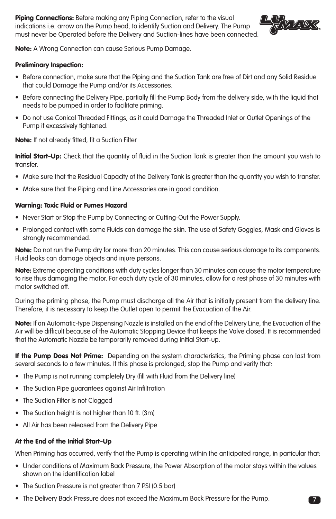Piping Connections: Before making any Piping Connection, refer to the visual indications i.e. arrow on the Pump head, to identify Suction and Delivery. The Pump must never be Operated before the Delivery and Suction-lines have been connected.



Note: A Wrong Connection can cause Serious Pump Damage.

## Preliminary Inspection:

- Before connection, make sure that the Piping and the Suction Tank are free of Dirt and any Solid Residue that could Damage the Pump and/or its Accessories.
- Before connecting the Delivery Pipe, partially fill the Pump Body from the delivery side, with the liquid that needs to be pumped in order to facilitate priming.
- Do not use Conical Threaded Fittings, as it could Damage the Threaded Inlet or Outlet Openings of the Pump if excessively tightened.

## Note: If not already fitted, fit a Suction Filter

Initial Start-Up: Check that the quantity of fluid in the Suction Tank is greater than the amount you wish to transfer.

- Make sure that the Residual Capacity of the Delivery Tank is greater than the quantity you wish to transfer.
- Make sure that the Piping and Line Accessories are in good condition.

#### Warning: Toxic Fluid or Fumes Hazard

- Never Start or Stop the Pump by Connecting or Cutting-Out the Power Supply.
- Prolonged contact with some Fluids can damage the skin. The use of Safety Goggles, Mask and Gloves is strongly recommended.

Note: Do not run the Pump dry for more than 20 minutes. This can cause serious damage to its components. Fluid leaks can damage objects and injure persons.

Note: Extreme operating conditions with duty cycles longer than 30 minutes can cause the motor temperature to rise thus damaging the motor. For each duty cycle of 30 minutes, allow for a rest phase of 30 minutes with motor switched off.

During the priming phase, the Pump must discharge all the Air that is initially present from the delivery line. Therefore, it is necessary to keep the Outlet open to permit the Evacuation of the Air.

Note: If an Automatic-type Dispensing Nozzle is installed on the end of the Delivery Line, the Evacuation of the Air will be difficult because of the Automatic Stopping Device that keeps the Valve closed. It is recommended that the Automatic Nozzle be temporarily removed during initial Start-up.

If the Pump Does Not Prime: Depending on the system characteristics, the Priming phase can last from several seconds to a few minutes. If this phase is prolonged, stop the Pump and verify that:

- The Pump is not running completely Dry (fill with Fluid from the Delivery line)
- The Suction Pipe guarantees against Air Infiltration
- The Suction Filter is not Clogged
- The Suction height is not higher than 10 ft. (3m)
- All Air has been released from the Delivery Pipe

## At the End of the Initial Start-Up

When Priming has occurred, verify that the Pump is operating within the anticipated range, in particular that:

- Under conditions of Maximum Back Pressure, the Power Absorption of the motor stays within the values shown on the identification label
- The Suction Pressure is not greater than 7 PSI (0.5 bar)
- The Delivery Back Pressure does not exceed the Maximum Back Pressure for the Pump.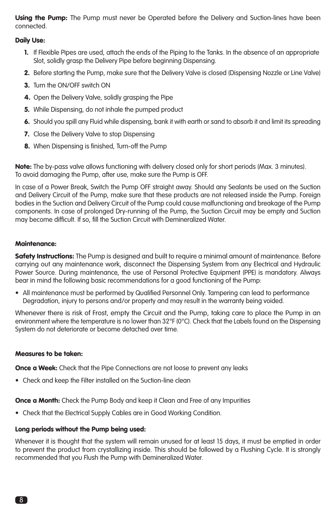Using the Pump: The Pump must never be Operated before the Delivery and Suction-lines have been connected.

## Daily Use:

- 1. If Flexible Pipes are used, attach the ends of the Piping to the Tanks. In the absence of an appropriate Slot, solidly grasp the Delivery Pipe before beginning Dispensing.
- 2. Before starting the Pump, make sure that the Delivery Valve is closed (Dispensing Nozzle or Line Valve)
- 3. Turn the ON/OFF switch ON
- 4. Open the Delivery Valve, solidly grasping the Pipe
- 5. While Dispensing, do not inhale the pumped product
- 6. Should you spill any Fluid while dispensing, bank it with earth or sand to absorb it and limit its spreading
- 7. Close the Delivery Valve to stop Dispensing
- 8. When Dispensing is finished, Turn-off the Pump

Note: The by-pass valve allows functioning with delivery closed only for short periods (Max. 3 minutes). To avoid damaging the Pump, after use, make sure the Pump is OFF.

In case of a Power Break, Switch the Pump OFF straight away. Should any Sealants be used on the Suction and Delivery Circuit of the Pump, make sure that these products are not released inside the Pump. Foreign bodies in the Suction and Delivery Circuit of the Pump could cause malfunctioning and breakage of the Pump components. In case of prolonged Dry-running of the Pump, the Suction Circuit may be empty and Suction may become difficult. If so, fill the Suction Circuit with Demineralized Water.

## Maintenance:

Safety Instructions: The Pump is designed and built to require a minimal amount of maintenance. Before carrying out any maintenance work, disconnect the Dispensing System from any Electrical and Hydraulic Power Source. During maintenance, the use of Personal Protective Equipment (PPE) is mandatory. Always bear in mind the following basic recommendations for a good functioning of the Pump:

• All maintenance must be performed by Qualified Personnel Only. Tampering can lead to performance Degradation, injury to persons and/or property and may result in the warranty being voided.

Whenever there is risk of Frost, empty the Circuit and the Pump, taking care to place the Pump in an environment where the temperature is no lower than 32°F (0°C). Check that the Labels found on the Dispensing System do not deteriorate or become detached over time.

## Measures to be taken:

**Once a Week:** Check that the Pipe Connections are not loose to prevent any leaks

• Check and keep the Filter installed on the Suction-line clean

**Once a Month:** Check the Pump Body and keep it Clean and Free of any Impurities

• Check that the Electrical Supply Cables are in Good Working Condition.

## Long periods without the Pump being used:

Whenever it is thought that the system will remain unused for at least 15 days, it must be emptied in order to prevent the product from crystallizing inside. This should be followed by a Flushing Cycle. It is strongly recommended that you Flush the Pump with Demineralized Water.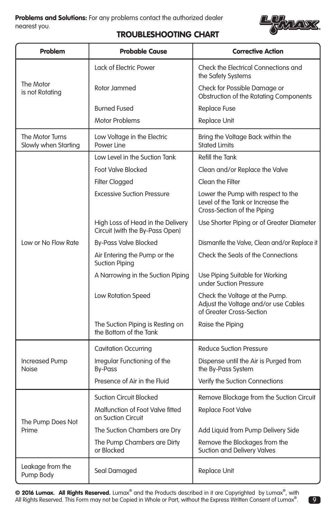

9

# TROUBLESHOOTING CHART

| Problem                                 | <b>Probable Cause</b>                                                | <b>Corrective Action</b>                                                                               |  |
|-----------------------------------------|----------------------------------------------------------------------|--------------------------------------------------------------------------------------------------------|--|
| The Motor<br>is not Rotating            | <b>Lack of Electric Power</b>                                        | Check the Electrical Connections and<br>the Safety Systems                                             |  |
|                                         | Rotor Jammed                                                         | Check for Possible Damage or<br>Obstruction of the Rotating Components                                 |  |
|                                         | <b>Burned Fused</b>                                                  | <b>Replace Fuse</b>                                                                                    |  |
|                                         | <b>Motor Problems</b>                                                | <b>Replace Unit</b>                                                                                    |  |
| The Motor Turns<br>Slowly when Starting | Low Voltage in the Electric<br>Power Line                            | Bring the Voltage Back within the<br>Stated Limits                                                     |  |
|                                         | Low Level in the Suction Tank                                        | Refill the Tank                                                                                        |  |
|                                         | <b>Foot Valve Blocked</b>                                            | Clean and/or Replace the Valve                                                                         |  |
|                                         | <b>Filter Clogged</b>                                                | Clean the Filter                                                                                       |  |
| Low or No Flow Rate                     | <b>Excessive Suction Pressure</b>                                    | Lower the Pump with respect to the<br>Level of the Tank or Increase the<br>Cross-Section of the Piping |  |
|                                         | High Loss of Head in the Delivery<br>Circuit (with the By-Pass Open) | Use Shorter Piping or of Greater Diameter                                                              |  |
|                                         | <b>By-Pass Valve Blocked</b>                                         | Dismantle the Valve, Clean and/or Replace it                                                           |  |
|                                         | Air Entering the Pump or the<br><b>Suction Piping</b>                | Check the Seals of the Connections                                                                     |  |
|                                         | A Narrowing in the Suction Piping                                    | Use Piping Suitable for Working<br>under Suction Pressure                                              |  |
|                                         | Low Rotation Speed                                                   | Check the Voltage at the Pump.<br>Adjust the Voltage and/or use Cables<br>of Greater Cross-Section     |  |
|                                         | The Suction Piping is Resting on<br>the Bottom of the Tank           | Raise the Piping                                                                                       |  |
| <b>Increased Pump</b><br>Noise          | <b>Cavitation Occurring</b>                                          | <b>Reduce Suction Pressure</b>                                                                         |  |
|                                         | Irregular Functioning of the<br><b>By-Pass</b>                       | Dispense until the Air is Purged from<br>the By-Pass System                                            |  |
|                                         | Presence of Air in the Fluid                                         | Verify the Suction Connections                                                                         |  |
| The Pump Does Not<br>Prime              | <b>Suction Circuit Blocked</b>                                       | Remove Blockage from the Suction Circuit                                                               |  |
|                                         | Malfunction of Foot Valve fitted<br>on Suction Circuit               | Replace Foot Valve                                                                                     |  |
|                                         | The Suction Chambers are Dry                                         | Add Liquid from Pump Delivery Side                                                                     |  |
|                                         | The Pump Chambers are Dirty<br>or Blocked                            | Remove the Blockages from the<br>Suction and Delivery Valves                                           |  |
| Leakage from the<br>Pump Body           | Seal Damaged                                                         | <b>Replace Unit</b>                                                                                    |  |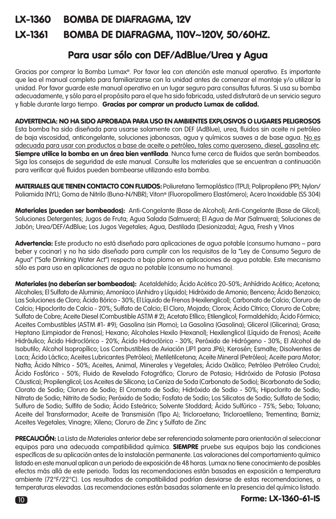# LX-1360 BOMBA DE DIAFRAGMA, 12V LX-1361 BOMBA DE DIAFRAGMA, 110V~120V, 50/60HZ.

# Para usar sólo con DEF/AdBlue/Urea y Agua

Gracias por comprar la Bomba Lumax®. Por favor lea con atención este manual operativo. Es importante que lea el manual completo para familiarizarse con la unidad antes de comenzar el montaje y/o utilizar la unidad. Por favor guarde este manual operativo en un lugar seguro para consultas futuras. Si usa su bomba adecuadamente, y sólo para el propósito para el que ha sido fabricada, usted disfrutará de un servicio seguro y fiable durante largo tiempo. Gracias por comprar un producto Lumax de calidad.

ADVERTENCIA: NO HA SIDO APROBADA PARA USO EN AMBIENTES EXPLOSIVOS O LUGARES PELIGROSOS Esta bomba ha sido diseñada para usarse solamente con DEF (AdBlue), urea, fluidos sin aceite ni petróleo de baja viscosidad, anticongelante, soluciones jabonosas, agua y químicos suaves a de base agua. No es adecuada para usar con productos a base de aceite o petróleo, tales como queroseno, diesel, gasolina etc. Siempre utilice la bomba en un área bien ventilada. Nunca fume cerca de fluidos que serán bombeados. Siga los consejos de seguridad de este manual. Consulte los materiales que se encuentran a continuación para verificar qué fluidos pueden bombearse utilizando esta bomba.

MATERIALES QUE TIENEN CONTACTO CON FLUIDOS: Poliuretano Termoplástico (TPU); Polipropileno (PP); Nylon/ Poliamida (NYL); Goma de Nitrilo (Buna-N/NBR); Viton® (Fluoropolímero Elastómero); Acero Inoxidable (SS 304)

Materiales (pueden ser bombeados): Anti-Congelante (Base de Alcohol); Anti-Congelante (Base de Glicol); Soluciones Detergentes; Jugos de Fruta; Agua Salada (Salmuera); El Agua de Mar (Salmuera); Soluciones de Jabón; Urea/DEF/AdBlue; Los Jugos Vegetales; Agua, Destilada (Desionizada); Agua, Fresh y VInos

Advertencia: Este producto no está diseñado para aplicaciones de agua potable (consumo humano – para beber y cocinar) y no ha sido diseñado para cumplir con los requisitos de la "Ley de Consumo Seguro de Agua" ("Safe Drinking Water Act") respecto a bajo plomo en aplicaciones de agua potable. Este mecanismo sólo es para uso en aplicaciones de agua no potable (consumo no humano).

Materiales (no deberían ser bombeados): Acetaldehído; Ácido Acético 20-50%; Anhídrido Acético; Acetona; Alcoholes; El Sulfato de Aluminio; Amoníaco (Anhidro y Líquido); Hidróxido de Amonio; Benceno; Ácido Benzoico; Las Soluciones de Cloro; Ácido Bórico - 30%; El Líquido de Frenos (Hexilenglicol); Carbonato de Calcio; Cloruro de Calcio; Hipoclorito de Calcio - 20%; Sulfato de Calcio; El Cloro, Mojado; Clorox; Ácido Cítrico; Cloruro de Cobre; Sulfato de Cobre; Aceite Diesel (Combustible ASTM # 2); Acetato Etílico; Etilenglicol; Formaldehído; Ácido Fórmico; Aceites Combustibles (ASTM #1- #9); Gasolina (sin Plomo); La Gasolina (Gasolina); Glicerol (Glicerina); Grasa; Heptano (Limpiador de Frenos); Hexano; Alcoholes Hexilo (Hexanol); Hexilenglicol (Líquido de Frenos); Aceite Hidráulico; Ácido Hidroclórico - 20%; Ácido Hidroclórico - 30%; Peróxido de Hidrógeno - 30%; El Alcohol de Isobutilo; Alcohol Isopropílico; Los Combustibles de Aviación (JP1 para JP6); Kerosén; Esmalte; Disolventes de Laca; Ácido Láctico; Aceites Lubricantes (Petróleo); Metiletilcetona; Aceite Mineral (Petróleo); Aceite para Motor; Nafta; Ácido Nítrico - 50%; Aceites, Animal, Minerales y Vegetales; Ácido Oxálico; Petróleo (Petróleo Crudo); Ácido Fosfórico - 50%; Fluido de Revelado Fotográfico; Cloruro de Potasio; Hidróxido de Potasio (Potasa Cáustica); Propilenglicol; Los Aceites de Silicona; La Ceniza de Soda (Carbonato de Sodio); Bicarbonato de Sodio; Clorato de Sodio; Cloruro de Sodio; El Cromato de Sodio; Hidróxido de Sodio - 50%; Hipoclorito de Sodio; Nitrato de Sodio; Nitrito de Sodio; Peróxido de Sodio; Fosfato de Sodio; Los Silicatos de Sodio; Sulfato de Sodio; Sulfuro de Sodio; Sulfito de Sodio; Ácido Esteárico; Solvente Stoddard; Ácido Sulfúrico - 75%; Sebo; Toluano; Aceite del Transformador; Aceite de Transmisión (Tipo A); Tricloroetano; Tricloroetileno; Trementina; Barniz; Aceites Vegetales; Vinagre; Xileno; Cloruro de Zinc y Sulfato de Zinc

PRECAUCIÓN: La Lista de Materiales anterior debe ser referenciada solamente para orientación al seleccionar equipos para una adecuada compatibilidad química. SIEMPRE pruebe sus equipos bajo las condiciones específicas de su aplicación antes de la instalación permanente. Las valoraciones del comportamiento químico listado en este manual aplican a un periodo de exposición de 48 horas. Lumax no tiene conocimiento de posibles efectos más allá de este periodo. Todas las recomendaciones están basadas en exposición a temperatura ambiente (72°F/22°C). Los resultados de compatibilidad podrían desviarse de estas recomendaciones, a temperaturas elevadas. Las recomendaciones están basadas solamente en la presencia del químico listado.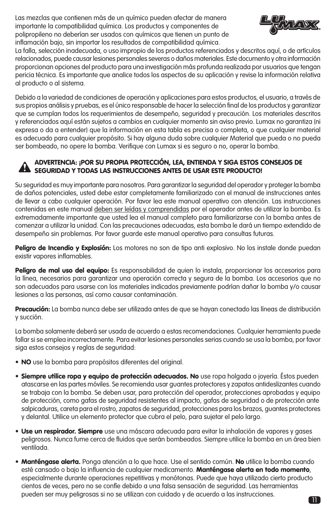Las mezclas que contienen más de un químico pueden afectar de manera importante la compatibilidad química. Los productos y componentes de polipropileno no deberían ser usados con químicos que tienen un punto de inflamación bajo, sin importar los resultados de compatibilidad química.



La falla, selección inadecuada, o uso impropio de los productos referenciados y descritos aquí, o de artículos relacionados, puede causar lesiones personales severas o daños materiales. Este documento y otra información proporcionan opciones del producto para una investigación más profunda realizada por usuarios que tengan pericia técnica. Es importante que analice todos los aspectos de su aplicación y revise la información relativa al producto o al sistema.

Debido a la variedad de condiciones de operación y aplicaciones para estos productos, el usuario, a través de sus propios análisis y pruebas, es el único responsable de hacer la selección final de los productos y garantizar que se cumplan todos los requerimientos de desempeño, seguridad y precaución. Los materiales descritos y referenciados aquí están sujetos a cambios en cualquier momento sin aviso previo. Lumax no garantiza (ni expresa o da a entender) que la información en esta tabla es precisa o completa, o que cualquier material es adecuado para cualquier propósito. Si hay alguna duda sobre cualquier Material que pueda o no pueda ser bombeado, no opere la bomba. Verifique con Lumax si es seguro o no, operar la bomba.

# ADVERTENCIA: ¡POR SU PROPIA PROTECCIÓN, LEA, ENTIENDA Y SIGA ESTOS CONSEJOS DE ADVERTENCIA: ¡POR SU PROPIA PROTECCION, LEA, ENTIENDA Y SIGA ESTOS (<br>SEGURIDAD Y TODAS LAS INSTRUCCIONES ANTES DE USAR ESTE PRODUCTO!

Su seguridad es muy importante para nosotros. Para garantizar la seguridad del operador y proteger la bomba de daños potenciales, usted debe estar completamente familiarizado con el manual de instrucciones antes de llevar a cabo cualquier operación. Por favor lea este manual operativo con atención. Las instrucciones contenidas en este manual deben ser leídas y comprendidas por el operador antes de utilizar la bomba. Es extremadamente importante que usted lea el manual completo para familiarizarse con la bomba antes de comenzar a utilizar la unidad. Con las precauciones adecuadas, esta bomba le dará un tiempo extendido de desempeño sin problemas. Por favor guarde este manual operativo para consultas futuras.

Peligro de Incendio y Explosión: Los motores no son de tipo anti explosivo. No los instale donde puedan existir vapores inflamables.

Peligro de mal uso del equipo: Es responsabilidad de quien lo instala, proporcionar los accesorios para la línea, necesarios para garantizar una operación correcta y segura de la bomba. Los accesorios que no son adecuados para usarse con los materiales indicados previamente podrían dañar la bomba y/o causar lesiones a las personas, así como causar contaminación.

Precaución: La bomba nunca debe ser utilizada antes de que se hayan conectado las líneas de distribución y succión.

La bomba solamente deberá ser usada de acuerdo a estas recomendaciones. Cualquier herramienta puede fallar si se emplea incorrectamente. Para evitar lesiones personales serias cuando se usa la bomba, por favor siga estos consejos y reglas de seguridad:

- NO use la bomba para propósitos diferentes del original.
- Siempre utilice ropa y equipo de protección adecuados. No use ropa holgada o joyería. Éstos pueden atascarse en las partes móviles. Se recomienda usar guantes protectores y zapatos antideslizantes cuando se trabaja con la bomba. Se deben usar, para protección del operador, protecciones aprobadas y equipo de protección, como gafas de seguridad resistentes al impacto, gafas de seguridad o de protección ante salpicaduras, careta para el rostro, zapatos de seguridad, protecciones para los brazos, guantes protectores y delantal. Utilice un elemento protector que cubra el pelo, para sujetar el pelo largo.
- **Use un respirador. Siempre** use una máscara adecuada para evitar la inhalación de vapores y gases peligrosos. Nunca fume cerca de fluidos que serán bombeados. Siempre utilice la bomba en un área bien ventilada.
- Manténgase alerta. Ponga atención a lo que hace. Use el sentido común. No utilice la bomba cuando esté cansado o bajo la influencia de cualquier medicamento. Manténgase alerta en todo momento, especialmente durante operaciones repetitivas y monótonas. Puede que haya utilizado cierto producto cientos de veces, pero no se confíe debido a una falsa sensación de seguridad. Las herramientas pueden ser muy peligrosas si no se utilizan con cuidado y de acuerdo a las instrucciones.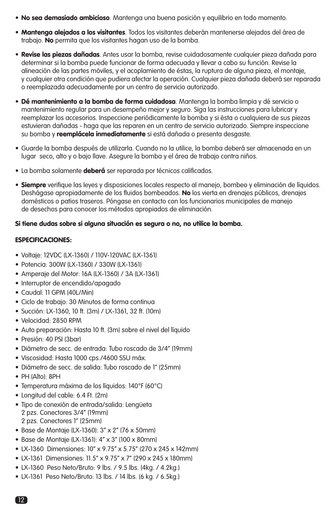- No sea demasiado ambicioso. Mantenga una buena posición y equilibrio en todo momento.
- Mantenga alejados a los visitantes. Todos los visitantes deberán mantenerse alejados del área de trabajo. No permita que los visitantes hagan uso de la bomba.
- Revise las piezas dañadas. Antes usar la bomba, revise cuidadosamente cualquier pieza dañada para determinar si la bomba puede funcionar de forma adecuada y llevar a cabo su función. Revise la alineación de las partes móviles, y el acoplamiento de éstas, la ruptura de alguna pieza, el montaje, y cualquier otra condición que pudiera afectar la operación. Cualquier pieza dañada deberá ser reparada o reemplazada adecuadamente por un centro de servicio autorizado.
- Dé mantenimiento a la bomba de forma cuidadosa. Mantenga la bomba limpia y dé servicio o mantenimiento regular para un desempeño mejor y seguro. Siga las instrucciones para lubricar y reemplazar los accesorios. Inspeccione periódicamente la bomba y si ésta o cualquiera de sus piezas estuvieran dañadas - haga que las reparen en un centro de servicio autorizado. Siempre inspeccione su bomba y **reemplácela inmediatamente** si está dañada o presenta desgaste.
- Guarde la bomba después de utilizarla. Cuando no la utilice, la bomba deberá ser almacenada en un lugar seco, alto y o bajo llave. Asegure la bomba y el área de trabajo contra niños.
- La bomba solamente deberá ser reparada por técnicos calificados.
- Siempre verifique las leyes y disposiciones locales respecto al manejo, bombeo y eliminación de líquidos. Deshágase apropiadamente de los fluidos bombeados. No los vierta en drenajes públicos, drenajes domésticos o patios traseros. Póngase en contacto con los funcionarios municipales de manejo de desechos para conocer los métodos apropiados de eliminación.

# Si tiene dudas sobre si alguna situación es segura o no, no utilice la bomba.

# ESPECIFICACIONES:

- Voltaje: 12VDC (LX-1360) / 110V-120VAC (LX-1361)
- Potencia: 300W (LX-1360) / 330W (LX-1361)
- Amperaje del Motor: 16A (LX-1360) / 3A (LX-1361)
- Interruptor de encendido/apagado
- $\bullet$  Caudal: 11 GPM (40L/Min)
- Ciclo de trabajo: 30 Minutos de forma continua
- Succión: LX-1360, 10 ft. (3m) / LX-1361, 32 ft. (10m)
- Velocidad: 2850 RPM
- Auto preparación: Hasta 10 ft. (3m) sobre el nivel del líquido
- Presión: 40 PSI (3bar)
- Diámetro de secc. de entrada: Tubo roscado de 3/4" (19mm)
- Viscosidad: Hasta 1000 cps./4600 SSU máx.
- Diámetro de secc. de salida: Tubo roscado de 1" (25mm)
- PH (Alto): 8PH
- Temperatura máxima de los líquidos: 140°F (60°C)
- Longitud del cable: 6.4 Ft. (2m)
- Tipo de conexión de entrada/salida: Lengüeta 2 pzs. Conectores 3/4" (19mm) 2 pzs. Conectores 1" (25mm)
- Base de Montaje (LX-1360): 3" x 2" (76 x 50mm)
- Base de Montaje (LX-1361): 4" x 3" (100 x 80mm)
- LX-1360 Dimensiones: 10" x 9.75" x 5.75" (270 x 245 x 142mm)
- LX-1361 Dimensiones: 11.5" x 9.75" x 7" (290 x 245 x 180mm)
- LX-1360 Peso Neto/Bruto: 9 lbs. / 9.5 lbs. (4kg. / 4.2kg.)
- LX-1361 Peso Neto/Bruto: 13 lbs. / 14 lbs. (6 kg. / 6.5kg.)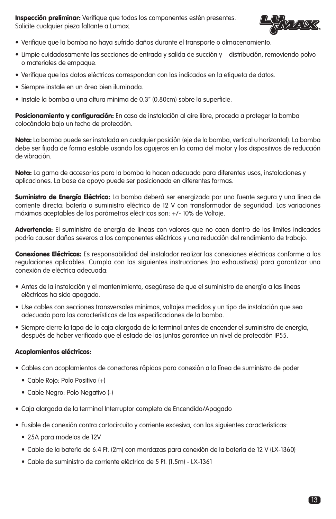Inspección preliminar: Verifique que todos los componentes estén presentes. Solicite cualquier pieza faltante a Lumax.



- Verifique que la bomba no haya sufrido daños durante el transporte o almacenamiento.
- Limpie cuidadosamente las secciones de entrada y salida de succión y distribución, removiendo polvo o materiales de empaque.
- Verifique que los datos eléctricos correspondan con los indicados en la etiqueta de datos.
- Siempre instale en un área bien iluminada.
- Instale la bomba a una altura mínima de 0.3" (0.80cm) sobre la superficie.

Posicionamiento y configuración: En caso de instalación al aire libre, proceda a proteger la bomba colocándola bajo un techo de protección.

Nota: La bomba puede ser instalada en cualquier posición (eje de la bomba, vertical u horizontal). La bomba debe ser fijada de forma estable usando los agujeros en la cama del motor y los dispositivos de reducción de vibración.

Nota: La gama de accesorios para la bomba la hacen adecuada para diferentes usos, instalaciones y aplicaciones. La base de apoyo puede ser posicionada en diferentes formas.

Suministro de Energía Eléctrica: La bomba deberá ser energizada por una fuente segura y una línea de corriente directa: batería o suministro eléctrico de 12 V con transformador de seguridad. Las variaciones máximas aceptables de los parámetros eléctricos son: +/- 10% de Voltaje.

Advertencia: El suministro de energía de líneas con valores que no caen dentro de los límites indicados podría causar daños severos a los componentes eléctricos y una reducción del rendimiento de trabajo.

Conexiones Eléctricas: Es responsabilidad del instalador realizar las conexiones eléctricas conforme a las regulaciones aplicables. Cumpla con las siguientes instrucciones (no exhaustivas) para garantizar una conexión de eléctrica adecuada:

- Antes de la instalación y el mantenimiento, asegúrese de que el suministro de energía a las líneas eléctricas ha sido apagado.
- Use cables con secciones transversales mínimas, voltajes medidos y un tipo de instalación que sea adecuado para las características de las especificaciones de la bomba.
- Siempre cierre la tapa de la caja alargada de la terminal antes de encender el suministro de energía, después de haber verificado que el estado de las juntas garantice un nivel de protección IP55.

## Acoplamientos eléctricos:

- Cables con acoplamientos de conectores rápidos para conexión a la línea de suministro de poder
	- Cable Rojo: Polo Positivo (+)
	- Cable Negro: Polo Negativo (-)
- Caja alargada de la terminal Interruptor completo de Encendido/Apagado
- Fusible de conexión contra cortocircuito y corriente excesiva, con las siguientes características:
	- 25A para modelos de 12V
	- Cable de la batería de 6.4 Ft. (2m) con mordazas para conexión de la batería de 12 V (LX-1360)
	- Cable de suministro de corriente eléctrica de 5 Ft. (1.5m) LX-1361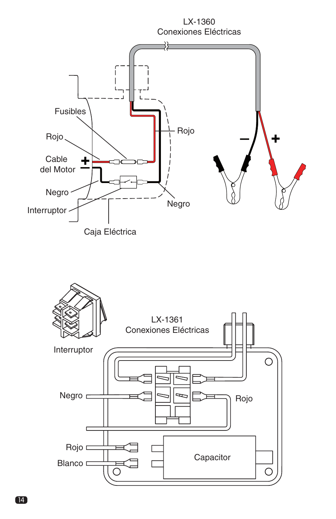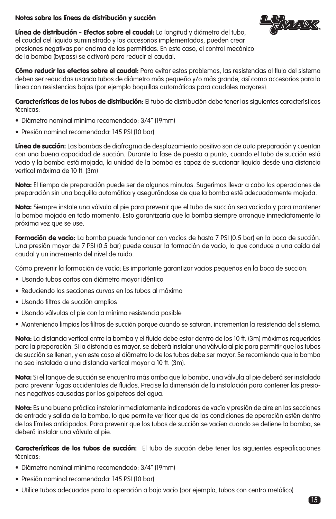# Notas sobre las líneas de distribución y succión



Línea de distribución - Efectos sobre el caudal: La longitud y diámetro del tubo, el caudal del líquido suministrado y los accesorios implementados, pueden crear presiones negativas por encima de las permitidas. En este caso, el control mecánico de la bomba (bypass) se activará para reducir el caudal.

Cómo reducir los efectos sobre el caudal: Para evitar estos problemas, las resistencias al flujo del sistema deben ser reducidas usando tubos de diámetro más pequeño y/o más grande, así como accesorios para la línea con resistencias bajas (por ejemplo boquillas automáticas para caudales mayores).

Características de los tubos de distribución: El tubo de distribución debe tener las siguientes características técnicas:

- Diámetro nominal mínimo recomendado: 3/4" (19mm)
- Presión nominal recomendada: 145 PSI (10 bar)

Línea de succión: Las bombas de diafragma de desplazamiento positivo son de auto preparación y cuentan con una buena capacidad de succión. Durante la fase de puesta a punto, cuando el tubo de succión está vacío y la bomba está mojada, la unidad de la bomba es capaz de succionar líquido desde una distancia vertical máxima de 10 ft. (3m)

Nota: El tiempo de preparación puede ser de algunos minutos. Sugerimos llevar a cabo las operaciones de preparación sin una boquilla automática y asegurándose de que la bomba esté adecuadamente mojada.

Nota: Siempre instale una válvula al pie para prevenir que el tubo de succión sea vaciado y para mantener la bomba mojada en todo momento. Esto garantizaría que la bomba siempre arranque inmediatamente la próxima vez que se use.

Formación de vacío: La bomba puede funcionar con vacíos de hasta 7 PSI (0.5 bar) en la boca de succión. Una presión mayor de 7 PSI (0.5 bar) puede causar la formación de vacío, lo que conduce a una caída del caudal y un incremento del nivel de ruido.

Cómo prevenir la formación de vacío: Es importante garantizar vacíos pequeños en la boca de succión:

- Usando tubos cortos con diámetro mayor idéntico
- Reduciendo las secciones curvas en los tubos al máximo
- Usando filtros de succión amplios
- Usando válvulas al pie con la mínima resistencia posible
- Manteniendo limpios los filtros de succión porque cuando se saturan, incrementan la resistencia del sistema.

Nota: La distancia vertical entre la bomba y el fluido debe estar dentro de los 10 ft. (3m) máximos requeridos para la preparación. Si la distancia es mayor, se deberá instalar una válvula al pie para permitir que los tubos de succión se llenen, y en este caso el diámetro lo de los tubos debe ser mayor. Se recomienda que la bomba no sea instalada a una distancia vertical mayor a 10 ft. (3m).

Nota: Si el tanque de succión se encuentra más arriba que la bomba, una válvula al pie deberá ser instalada para prevenir fugas accidentales de fluidos. Precise la dimensión de la instalación para contener las presiones negativas causadas por los golpeteos del agua.

Nota: Es una buena práctica instalar inmediatamente indicadores de vacío y presión de aire en las secciones de entrada y salida de la bomba, lo que permite verificar que de las condiciones de operación estén dentro de los límites anticipados. Para prevenir que los tubos de succión se vacíen cuando se detiene la bomba, se deberá instalar una válvula al pie.

Características de los tubos de succión: El tubo de succión debe tener las siguientes especificaciones técnicas:

- Diámetro nominal mínimo recomendado: 3/4" (19mm)
- Presión nominal recomendada: 145 PSI (10 bar)
- Utilice tubos adecuados para la operación a bajo vacío (por ejemplo, tubos con centro metálico)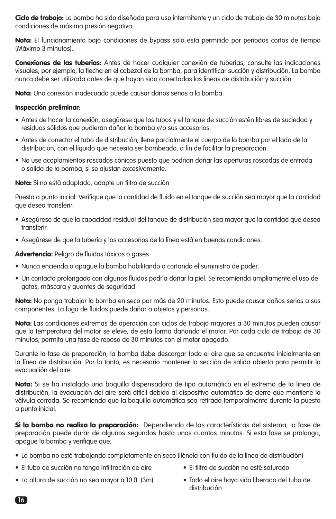Ciclo de trabajo: La bomba ha sido diseñada para uso intermitente y un ciclo de trabajo de 30 minutos bajo condiciones de máxima presión negativa.

Nota: El funcionamiento bajo condiciones de bypass sólo está permitido por periodos cortos de tiempo (Máximo 3 minutos).

Conexiones de las tuberías: Antes de hacer cualquier conexión de tuberías, consulte las indicaciones visuales, por ejemplo, la flecha en el cabezal de la bomba, para identificar succión y distribución. La bomba nunca debe ser utilizada antes de que hayan sido conectadas las líneas de distribución y succión.

Nota: Una conexión inadecuada puede causar daños serios a la bomba.

#### Inspección preliminar:

- Antes de hacer la conexión, asegúrese que los tubos y el tanque de succión estén libres de suciedad y residuos sólidos que pudieran dañar la bomba y/o sus accesorios.
- Antes de conectar el tubo de distribución, llene parcialmente el cuerpo de la bomba por el lado de la distribución, con el líquido que necesita ser bombeado, a fin de facilitar la preparación.
- No use acoplamientos roscados cónicos puesto que podrían dañar las aperturas roscadas de entrada o salida de la bomba, si se ajustan excesivamente.

Nota: Si no está adaptado, adapte un filtro de succión

Puesta a punto inicial: Verifique que la cantidad de fluido en el tanque de succión sea mayor que la cantidad que desea transferir.

- Asegúrese de que la capacidad residual del tanque de distribución sea mayor que la cantidad que desea transferir.
- Asegúrese de que la tubería y los accesorios de la línea está en buenas condiciones.

#### Advertencia: Peligro de fluidos tóxicos o gases

- Nunca encienda o apague la bomba habilitando o cortando el suministro de poder.
- Un contacto prolongado con algunos fluidos podría dañar la piel. Se recomienda ampliamente el uso de gafas, máscara y guantes de seguridad

Nota: No ponga trabajar la bomba en seco por más de 20 minutos. Esto puede causar daños serios a sus componentes. La fuga de fluidos puede dañar a objetos y personas.

Nota: Las condiciones extremas de operación con ciclos de trabajo mayores a 30 minutos pueden causar que la temperatura del motor se eleve, de esta forma dañando el motor. Por cada ciclo de trabajo de 30 minutos, permita una fase de reposo de 30 minutos con el motor apagado.

Durante la fase de preparación, la bomba debe descargar todo el aire que se encuentre inicialmente en la línea de distribución. Por lo tanto, es necesario mantener la sección de salida abierta para permitir la evacuación del aire.

Nota: Si se ha instalado una boquilla dispensadora de tipo automático en el extremo de la línea de distribución, la evacuación del aire será difícil debido al dispositivo automático de cierre que mantiene la válvula cerrada. Se recomienda que la boquilla automática sea retirada temporalmente durante la puesta a punto inicial.

Si la bomba no realiza la preparación: Dependiendo de las características del sistema, la fase de preparación puede durar de algunos segundos hasta unos cuantos minutos. Si esta fase se prolonga, apague la bomba y verifique que:

- La bomba no esté trabajando completamente en seco (llénela con fluido de la línea de distribución)
- El tubo de succión no tenga infiltración de aire El filtro de succión no esté saturado
	-
- La altura de succión no sea mayor a 10 ft. (3m) Todo el aire haya sido liberado del tubo de
	- distribución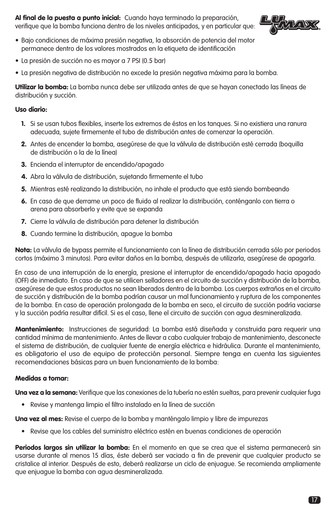Al final de la puesta a punto inicial: Cuando haya terminado la preparación, verifique que la bomba funciona dentro de los niveles anticipados, y en particular que:



- Bajo condiciones de máxima presión negativa, la absorción de potencia del motor permanece dentro de los valores mostrados en la etiqueta de identificación
- La presión de succión no es mayor a 7 PSI (0.5 bar)
- La presión negativa de distribución no excede la presión negativa máxima para la bomba.

Utilizar la bomba: La bomba nunca debe ser utilizada antes de que se hayan conectado las líneas de distribución y succión.

# Uso diario:

- 1. Si se usan tubos flexibles, inserte los extremos de éstos en los tanques. Si no existiera una ranura adecuada, sujete firmemente el tubo de distribución antes de comenzar la operación.
- 2. Antes de encender la bomba, asegúrese de que la válvula de distribución esté cerrada (boquilla de distribución o la de la línea)
- 3. Encienda el interruptor de encendido/apagado
- 4. Abra la válvula de distribución, sujetando firmemente el tubo
- 5. Mientras esté realizando la distribución, no inhale el producto que está siendo bombeando
- 6. En caso de que derrame un poco de fluido al realizar la distribución, conténganlo con tierra o arena para absorberlo y evite que se expanda
- 7. Cierre la válvula de distribución para detener la distribución
- 8. Cuando termine la distribución, apague la bomba

Nota: La válvula de bypass permite el funcionamiento con la línea de distribución cerrada sólo por periodos cortos (máximo 3 minutos). Para evitar daños en la bomba, después de utilizarla, asegúrese de apagarla.

En caso de una interrupción de la energía, presione el interruptor de encendido/apagado hacia apagado (OFF) de inmediato. En caso de que se utilicen selladores en el circuito de succión y distribución de la bomba, asegúrese de que estos productos no sean liberados dentro de la bomba. Los cuerpos extraños en el circuito de succión y distribución de la bomba podrían causar un mal funcionamiento y ruptura de los componentes de la bomba. En caso de operación prolongada de la bomba en seco, el circuito de succión podría vaciarse y la succión podría resultar difícil. Si es el caso, llene el circuito de succión con agua desmineralizada.

Mantenimiento: Instrucciones de seguridad: La bomba está diseñada y construida para requerir una cantidad mínima de mantenimiento. Antes de llevar a cabo cualquier trabajo de mantenimiento, desconecte el sistema de distribución, de cualquier fuente de energía eléctrica e hidráulica. Durante el mantenimiento, es obligatorio el uso de equipo de protección personal. Siempre tenga en cuenta las siguientes recomendaciones básicas para un buen funcionamiento de la bomba:

## Medidas a tomar:

Una vez a la semana: Verifique que las conexiones de la tubería no estén sueltas, para prevenir cualquier fuga

• Revise y mantenga limpio el filtro instalado en la línea de succión

Una vez al mes: Revise el cuerpo de la bomba y manténgalo limpio y libre de impurezas

• Revise que los cables del suministro eléctrico estén en buenas condiciones de operación

Periodos largos sin utilizar la bomba: En el momento en que se crea que el sistema permanecerá sin usarse durante al menos 15 días, éste deberá ser vaciado a fin de prevenir que cualquier producto se cristalice al interior. Después de esto, deberá realizarse un ciclo de enjuague. Se recomienda ampliamente que enjuague la bomba con agua desmineralizada.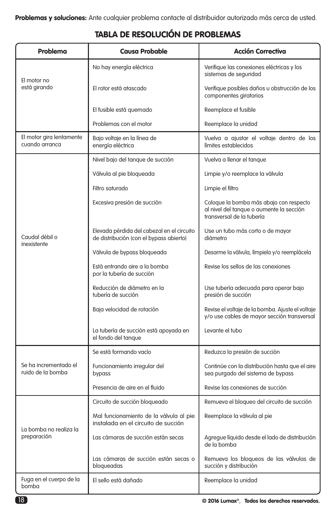| TABLA DE RESOLUCIÓN DE PROBLEMAS |  |  |  |  |  |  |
|----------------------------------|--|--|--|--|--|--|
|----------------------------------|--|--|--|--|--|--|

| Problema                                   | <b>Causa Probable</b>                                                                 | <b>Acción Correctiva</b>                                                                                         |  |
|--------------------------------------------|---------------------------------------------------------------------------------------|------------------------------------------------------------------------------------------------------------------|--|
| El motor no<br>está girando                | No hay energía eléctrica                                                              | Verifique las conexiones eléctricas y los<br>sistemas de seguridad                                               |  |
|                                            | El rotor está atascado                                                                | Verifique posibles daños u obstrucción de los<br>componentes giratorios                                          |  |
|                                            | El fusible está quemado                                                               | Reemplace el fusible                                                                                             |  |
|                                            | Problemas con el motor                                                                | Reemplace la unidad                                                                                              |  |
| El motor gira lentamente<br>cuando arranca | Bajo voltaje en la línea de<br>energía eléctrica                                      | Vuelva a ajustar el voltaje dentro de los<br>límites establecidos                                                |  |
|                                            | Nivel bajo del tanque de succión                                                      | Vuelva a llenar el tanque                                                                                        |  |
|                                            | Válvula al pie bloqueada                                                              | Limpie y/o reemplace la válvula                                                                                  |  |
|                                            | Filtro saturado                                                                       | Limpie el filtro                                                                                                 |  |
| Caudal débil o<br>inexistente              | Excesiva presión de succión                                                           | Coloque la bomba más abajo con respecto<br>al nivel del tanque o aumente la sección<br>transversal de la tubería |  |
|                                            | Elevada pérdida del cabezal en el circuito<br>de distribución (con el bypass abierto) | Use un tubo más corto o de mayor<br>diámetro                                                                     |  |
|                                            | Válvula de bypass bloqueada                                                           | Desarme la válvula, límpiela y/o reemplácela                                                                     |  |
|                                            | Está entrando aire a la bomba<br>por la tubería de succión                            | Revise los sellos de las conexiones                                                                              |  |
|                                            | Reducción de diámetro en la<br>tubería de succión                                     | Use tubería adecuada para operar bajo<br>presión de succión                                                      |  |
|                                            | Baja velocidad de rotación                                                            | Revise el voltaje de la bomba. Ajuste el voltaje<br>y/o use cables de mayor sección transversal                  |  |
|                                            | La tubería de succión está apoyada en<br>el fondo del tanque                          | Levante el tubo                                                                                                  |  |
| Se ha incrementado el<br>ruido de la bomba | Se está formando vacío                                                                | Reduzca la presión de succión                                                                                    |  |
|                                            | Funcionamiento irregular del<br>bypass                                                | Continúe con la distribución hasta que el aire<br>sea purgado del sistema de bypass                              |  |
|                                            | Presencia de aire en el fluido                                                        | Revise las conexiones de succión                                                                                 |  |
| La bomba no realiza la<br>preparación      | Circuito de succión bloqueado                                                         | Remueva el bloqueo del circuito de succión                                                                       |  |
|                                            | Mal funcionamiento de la válvula al pie<br>instalada en el circuito de succión        | Reemplace la válvula al pie                                                                                      |  |
|                                            | Las cámaras de succión están secas                                                    | Agregue líquido desde el lado de distribución<br>de la bomba                                                     |  |
|                                            | Las cámaras de succión están secas o<br>bloqueadas                                    | Remueva los bloqueos de las válvulas de<br>succión y distribución                                                |  |
| Fuga en el cuerpo de la<br>bomba           | El sello está dañado                                                                  | Reemplace la unidad                                                                                              |  |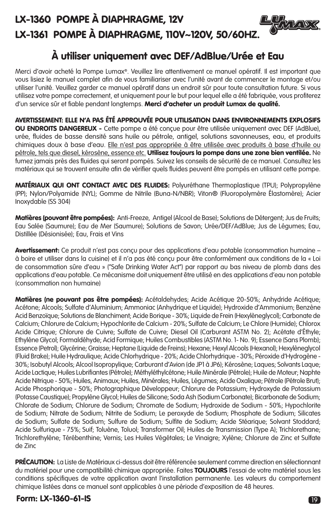# LX-1360 POMPE À DIAPHRAGME, 12V LX-1361 POMPE À DIAPHRAGME, 110V~120V, 50/60HZ.



Merci d'avoir acheté la Pompe Lumax®. Veuillez lire attentivement ce manuel opératif. Il est important que vous lisiez le manuel complet afin de vous familiariser avec l'unité avant de commencer le montage et/ou utiliser l'unité. Veuillez garder ce manuel opératif dans un endroit sûr pour toute consultation future. Si vous utilisez votre pompe correctement, et uniquement pour le but pour lequel elle a été fabriquée, vous profiterez d'un service sûr et fiable pendant longtemps. Merci d'acheter un produit Lumax de qualité.

AVERTISSEMENT: ELLE N'A PAS ÉTÉ APPROUVÉE POUR UTILISATION DANS ENVIRONNEMENTS EXPLOSIFS OU ENDROITS DANGEREUX - Cette pompe a été conçue pour être utilisée uniquement avec DEF (AdBlue), urée, fluides de basse densité sans huile ou pétrole, antigel, solutions savonneuses, eau, et produits chimiques doux à base d'eau. Elle n'est pas appropriée à être utilisée avec produits à base d'huile ou pétrole, tels que diesel, kérosène, essence etc. Utilisez toujours la pompe dans une zone bien ventilée. Ne fumez jamais près des fluides qui seront pompés. Suivez les conseils de sécurité de ce manuel. Consultez les matériaux qui se trouvent ensuite afin de vérifier quels fluides peuvent être pompés en utilisant cette pompe.

MATÉRIAUX QUI ONT CONTACT AVEC DES FLUIDES: Polyuréthane Thermoplastique (TPU); Polypropylène (PP); Nylon/Polyamide (NYL); Gomme de Nitrile (Buna-N/NBR); Viton® (Fluoropolymère Élastomère); Acier Inoxydable (SS 304)

Matières (pouvant être pompées): Anti-Freeze, Antigel (Alcool de Base); Solutions de Détergent; Jus de Fruits; Eau Salée (Saumure); Eau de Mer (Saumure); Solutions de Savon; Urée/DEF/AdBlue; Jus de Légumes; Eau, Distillée (Désionisée); Eau, Frais et Vins

Avertissement: Ce produit n'est pas conçu pour des applications d'eau potable (consommation humaine à boire et utiliser dans la cuisine) et il n'a pas été conçu pour être conformément aux conditions de la « Loi de consommation sûre d'eau » ("Safe Drinking Water Act") par rapport au bas niveau de plomb dans des applications d'eau potable. Ce mécanisme doit uniquement être utilisé en des applications d'eau non potable (consommation non humaine)

Matières (ne pouvant pas être pompées): Acétaldehydes; Acide Acétique 20-50%; Anhydride Acétique; Acétone; Alcools; Sulfate d'Aluminium; Ammoniac (Anhydrique et Liquide); Hydroxide d'Ammonium; Benzène Acid Benzoïque; Solutions de Blanchiment; Acide Borique - 30%; Liquide de Frein (Hexylèneglycol); Carbonate de Calcium; Chlorure de Calcium; Hypochlorite de Calcium - 20%; Sulfate de Calcium; Le Chlore (Humide); Chlorox Acide Citrique; Chlorure de Cuivre; Sulfate de Cuivre; Diesel Oil (Carburant ASTM No. 2); Acétate d'Éthyle; Ethylène Glycol; Formaldéhyde; Acid Formique; Huiles Combustibles (ASTM No. 1- No. 9); Essence (Sans Plomb); Essence (Petrol); Glycérine; Graisse; Heptane (Liquide de Freins); Hexane; Hexyl Alcools (Hexanol); Hexylèneglycol (Fluid Brake); Huile Hydraulique; Acide Chlorhydrique - 20%; Acide Chlorhydrique - 30%; Péroxide d'Hydrogène - 30%; Isobutyl Alcools; Alcool Isopropylique; Carburant d'Avion (de JP1 à JP6); Kérosène; Laques; Solvants Laque; Acide Lactique; Huiles Lubrifiantes (Pétrole); Méthyléthylcétone; Huile Minérale (Pétrole); Huile de Moteur; Naphte Acide Nitrique - 50%; Huiles, Animaux; Huiles, Minérales; Huiles, Légumes; Acide Oxalique; Pétrole (Pétrole Brut); Acide Phosphorique - 50%; Photographique Développeur; Chlorure de Potassium; Hydroxyde de Potassium (Potasse Caustique); Propylène Glycol; Huiles de Silicone; Soda Ash (Sodium Carbonate); Bicarbonate de Sodium; Chlorate de Sodium; Chlorure de Sodium; Chromate de Sodium; Hydroxide de Sodium - 50%; Hypochlorite de Sodium; Nitrate de Sodium; Nitrite de Sodium; Le peroxyde de Sodium; Phosphate de Sodium; Silicates de Sodium; Sulfate de Sodium; Sulfure de Sodium; Sulfite de Sodium; Acide Stéarique; Solvant Stoddard; Acide Sulfurique - 75%; Suif; Toluène, Toluol; Transformer Oil; Huiles de Transmission (Type A); Trichlorethane; Trichlorethylène; Térébenthine; Vernis; Les Huiles Végétales; Le Vinaigre; Xylène; Chlorure de Zinc et Sulfate de Zinc

PRÉCAUTION: La Liste de Matériaux ci-dessus doit être référencée seulement comme direction en sélectionnant du matériel pour une compatibilité chimique appropriée. Faites TOUJOURS l'essai de votre matériel sous les conditions spécifiques de votre application avant l'installation permanente. Les valeurs du comportement chimique listées dans ce manuel sont applicables à une période d'exposition de 48 heures.

# Form: LX-1360-61-IS 19

FAVERS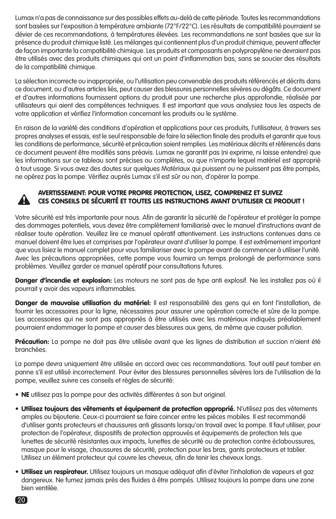Lumax n'a pas de connaissance sur des possibles effets au-delà de cette période. Toutes les recommandations sont basées sur l'exposition à température ambiante (72°F/22°C). Les résultats de compatibilité pourraient se dévier de ces recommandations, à températures élevées. Les recommandations ne sont basées que sur la présence du produit chimique listé. Les mélanges qui contiennent plus d'un produit chimique, peuvent affecter de façon importante la compatibilité chimique. Les produits et composants en polypropylène ne devraient pas être utilisés avec des produits chimiques qui ont un point d'inflammation bas, sans se soucier des résultats de la compatibilité chimique.

La sélection incorrecte ou inappropriée, ou l'utilisation peu convenable des produits référencés et décrits dans ce document, ou d'autres articles liés, peut causer des blessures personnelles sévères ou dégâts. Ce document et d'autres informations fournissent options du produit pour une recherche plus approfondie, réalisée par utilisateurs qui aient des compétences techniques. Il est important que vous analysiez tous les aspects de votre application et vérifiez l'information concernant les produits ou le système.

En raison de la variété des conditions d'opération et applications pour ces produits, l'utilisateur, à travers ses propres analyses et essais, est le seul responsable de faire la sélection finale des produits et garantir que tous les conditions de performance, sécurité et précaution soient remplies. Les matériaux décrits et référencés dans ce document peuvent être modifiés sans préavis. Lumax ne garantit pas (ni exprime, ni laisse entendre) que les informations sur ce tableau sont précises ou complètes, ou que n'importe lequel matériel est approprié à tout usage. Si vous avez des doutes sur quelques Matériaux qui puissent ou ne puissent pas être pompés, ne opérez pas la pompe. Vérifiez auprès Lumax s'il est sûr ou non, d'opérer la pompe.



# AVERTISSEMENT: POUR VOTRE PROPRE PROTECTION, LISEZ, COMPRENEZ ET SUIVEZ CES CONSEILS DE SÉCURITÉ ET TOUTES LES INSTRUCTIONS AVANT D'UTILISER CE PRODUIT !

Votre sécurité est très importante pour nous. Afin de garantir la sécurité de l'opérateur et protéger la pompe des dommages potentiels, vous devez être complètement familiarisé avec le manuel d'instructions avant de réaliser toute opération. Veuillez lire ce manuel opératif attentivement. Les instructions contenues dans ce manuel doivent être lues et comprises par l'opérateur avant d'utiliser la pompe. Il est extrêmement important que vous lisiez le manuel complet pour vous familiariser avec la pompe avant de commencer à utiliser l'unité. Avec les précautions appropriées, cette pompe vous fournira un temps prolongé de performance sans problèmes. Veuillez garder ce manuel opératif pour consultations futures.

Danger d'incendie et explosion: Les moteurs ne sont pas de type anti explosif. Ne les installez pas où il pourrait y avoir des vapeurs inflammables.

Danger de mauvaise utilisation du matériel: Il est responsabilité des gens qui en font l'installation, de fournir les accessoires pour la ligne, nécessaires pour assurer une opération correcte et sûre de la pompe. Les accessoires qui ne sont pas appropriés à être utilisés avec les matériaux indiqués préalablement pourraient endommager la pompe et causer des blessures aux gens, de même que causer pollution.

Précaution: La pompe ne doit pas être utilisée avant que les lignes de distribution et succion n'aient été branchées.

La pompe devra uniquement être utilisée en accord avec ces recommandations. Tout outil peut tomber en panne s'il est utilisé incorrectement. Pour éviter des blessures personnelles sévères lors de l'utilisation de la pompe, veuillez suivre ces conseils et règles de sécurité:

- NE utilisez pas la pompe pour des activités différentes à son but originel.
- Utilisez toujours des vêtements et équipement de protection approprié. N'utilisez pas des vêtements amples ou bijouterie. Ceux-ci pourraient se faire coincer entre les pièces mobiles. Il est recommandé d'utiliser gants protecteurs et chaussures anti glissants lorsqu'on travail avec la pompe. Il faut utiliser, pour protection de l'opérateur, dispositifs de protection approuvés et équipements de protection tels que lunettes de sécurité résistantes aux impacts, lunettes de sécurité ou de protection contre éclaboussures, masque pour le visage, chaussures de sécurité, protection pour les bras, gants protecteurs et tablier. Utilisez un élément protecteur qui couvre les cheveux, afin de tenir les cheveux longs.
- Utilisez un respirateur. Utilisez toujours un masque adéquat afin d'éviter l'inhalation de vapeurs et gaz dangereux. Ne fumez jamais près des fluides à être pompés. Utilisez toujours la pompe dans une zone bien ventilée.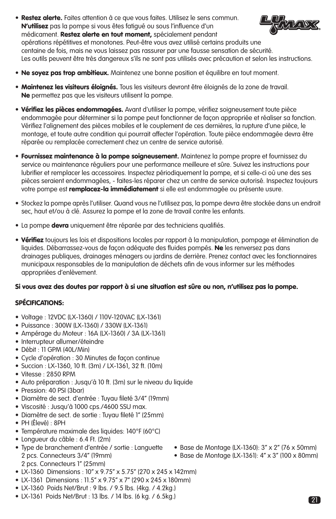- Restez alerte. Faites attention à ce que vous faites. Utilisez le sens commun. ALA DE N'utilisez pas la pompe si vous êtes fatigué ou sous l'influence d'un médicament. Restez alerte en tout moment, spécialement pendant opérations répétitives et monotones. Peut-être vous avez utilisé certains produits une centaine de fois, mais ne vous laissez pas rassurer par une fausse sensation de sécurité. Les outils peuvent être très dangereux s'ils ne sont pas utilisés avec précaution et selon les instructions.
- Ne soyez pas trop ambitieux. Maintenez une bonne position et équilibre en tout moment.
- Maintenez les visiteurs éloignés. Tous les visiteurs devront être éloignés de la zone de travail. Ne permettez pas que les visiteurs utilisent la pompe.
- Vérifiez les pièces endommagées. Avant d'utiliser la pompe, vérifiez soigneusement toute pièce endommagée pour déterminer si la pompe peut fonctionner de façon appropriée et réaliser sa fonction. Vérifiez l'alignement des pièces mobiles et le couplement de ces dernières, la rupture d'une pièce, le montage, et toute autre condition qui pourrait affecter l'opération. Toute pièce endommagée devra être réparée ou remplacée correctement chez un centre de service autorisé.
- Fournissez maintenance à la pompe soigneusement. Maintenez la pompe propre et fournissez du service ou maintenance réguliers pour une performance meilleure et sûre. Suivez les instructions pour lubrifier et remplacer les accessoires. Inspectez périodiquement la pompe, et si celle-ci où une des ses pièces seraient endommagées, - faites-les réparer chez un centre de service autorisé. Inspectez toujours votre pompe est **remplacez-la immédiatement** si elle est endommagée ou présente usure.
- Stockez la pompe après l'utiliser. Quand vous ne l'utilisez pas, la pompe devra être stockée dans un endroit sec, haut et/ou à clé. Assurez la pompe et la zone de travail contre les enfants.
- La pompe **devra** uniquement être réparée par des techniciens qualifiés.
- Vérifiez toujours les lois et dispositions locales par rapport à la manipulation, pompage et élimination de liquides. Débarrassez-vous de façon adéquate des fluides pompés. Ne les renversez pas dans drainages publiques, drainages ménagers ou jardins de derrière. Prenez contact avec les fonctionnaires municipaux responsables de la manipulation de déchets afin de vous informer sur les méthodes appropriées d'enlèvement.

# Si vous avez des doutes par rapport à si une situation est sûre ou non, n'utilisez pas la pompe.

# SPÉCIFICATIONS:

- Voltage : 12VDC (LX-1360) / 110V-120VAC (LX-1361)
- Puissance : 300W (LX-1360) / 330W (LX-1361)
- Ampérage du Moteur : 16A (LX-1360) / 3A (LX-1361)
- Interrupteur allumer/éteindre
- Débit : 11 GPM (40L/Min)
- Cycle d'opération : 30 Minutes de façon continue
- Succion : LX-1360, 10 ft. (3m) / LX-1361, 32 ft. (10m)
- Vitesse : 2850 RPM
- Auto préparation : Jusqu'à 10 ft. (3m) sur le niveau du liquide
- Pression: 40 PSI (3bar)
- Diamètre de sect. d'entrée : Tuyau fileté 3/4" (19mm)
- Viscosité : Jusqu'à 1000 cps./4600 SSU max.
- Diamètre de sect. de sortie : Tuyau fileté 1" (25mm)
- PH (Élevé) : 8PH
- Température maximale des liquides: 140°F (60°C)
- Longueur du câble : 6.4 Ft. (2m)
- Type de branchement d'entrée / sortie : Languette Base de Montage (LX-1360): 3" x 2" (76 x 50mm) 2 pcs. Connecteurs 3/4" (19mm) • Base de Montage (LX-1361): 4" x 3" (100 x 80mm) 2 pcs. Connecteurs 1" (25mm)
	- -
- LX-1360 Dimensions : 10" x 9.75" x 5.75" (270 x 245 x 142mm)
- LX-1361 Dimensions : 11.5" x 9.75" x 7" (290 x 245 x 180mm)
- LX-1360 Poids Net/Brut : 9 lbs. / 9.5 lbs. (4kg. / 4.2kg.)
- LX-1361 Poids Net/Brut : 13 lbs. / 14 lbs. (6 kg. / 6.5kg.)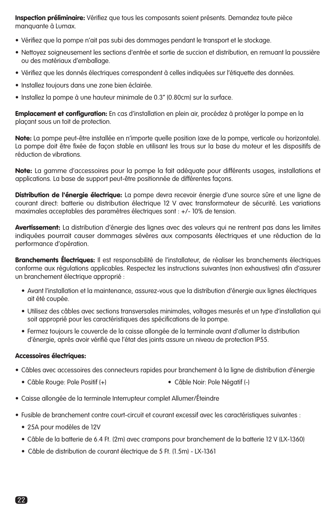Inspection préliminaire: Vérifiez que tous les composants soient présents. Demandez toute pièce manquante à Lumax.

- Vérifiez que la pompe n'ait pas subi des dommages pendant le transport et le stockage.
- Nettoyez soigneusement les sections d'entrée et sortie de succion et distribution, en remuant la poussière ou des matériaux d'emballage.
- Vérifiez que les donnés électriques correspondent à celles indiquées sur l'étiquette des données.
- Installez toujours dans une zone bien éclairée.
- Installez la pompe à une hauteur minimale de 0.3" (0.80cm) sur la surface.

Emplacement et configuration: En cas d'installation en plein air, procédez à protéger la pompe en la plaçant sous un toit de protection.

Note: La pompe peut-être installée en n'importe quelle position (axe de la pompe, verticale ou horizontale). La pompe doit être fixée de façon stable en utilisant les trous sur la base du moteur et les dispositifs de réduction de vibrations.

Note: La gamme d'accessoires pour la pompe la fait adéquate pour différents usages, installations et applications. La base de support peut-être positionnée de différentes façons.

Distribution de l'énergie électrique: La pompe devra recevoir énergie d'une source sûre et une ligne de courant direct: batterie ou distribution électrique 12 V avec transformateur de sécurité. Les variations maximales acceptables des paramètres électriques sont : +/- 10% de tension.

Avertissement: La distribution d'énergie des lignes avec des valeurs qui ne rentrent pas dans les limites indiquées pourrait causer dommages sévères aux composants électriques et une réduction de la performance d'opération.

Branchements Électriques: Il est responsabilité de l'installateur, de réaliser les branchements électriques conforme aux régulations applicables. Respectez les instructions suivantes (non exhaustives) afin d'assurer un branchement électrique approprié :

- Avant l'installation et la maintenance, assurez-vous que la distribution d'énergie aux lignes électriques ait été coupée.
- Utilisez des câbles avec sections transversales minimales, voltages mesurés et un type d'installation qui soit approprié pour les caractéristiques des spécifications de la pompe.
- Fermez toujours le couvercle de la caisse allongée de la terminale avant d'allumer la distribution d'énergie, après avoir vérifié que l'état des joints assure un niveau de protection IP55.

## Accessoires électriques:

- Câbles avec accessoires des connecteurs rapides pour branchement à la ligne de distribution d'énergie
	- Câble Rouge: Pole Positif (+) Câble Noir: Pole Négatif (-)
- Caisse allongée de la terminale Interrupteur complet Allumer/Éteindre
- Fusible de branchement contre court-circuit et courant excessif avec les caractéristiques suivantes :
	- 25A pour modèles de 12V
	- Câble de la batterie de 6.4 Ft. (2m) avec crampons pour branchement de la batterie 12 V (LX-1360)
	- Câble de distribution de courant électrique de 5 Ft. (1.5m) LX-1361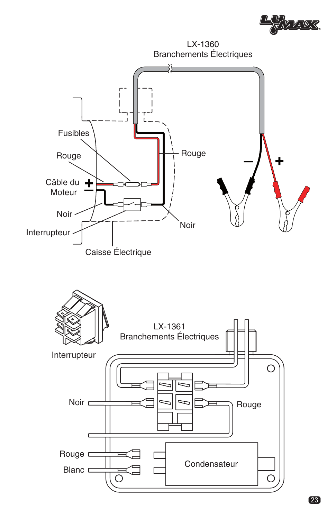

LX-1360 Branchements Électriques

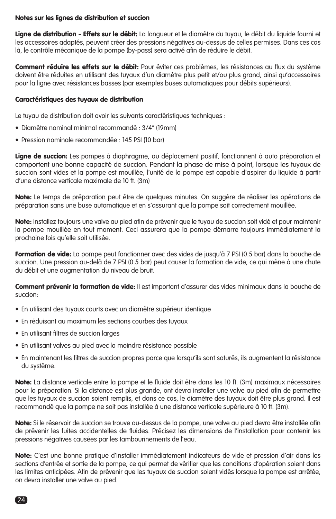### Notes sur les lignes de distribution et succion

Ligne de distribution - Effets sur le débit: La longueur et le diamètre du tuyau, le débit du liquide fourni et les accessoires adaptés, peuvent créer des pressions négatives au-dessus de celles permises. Dans ces cas là, le contrôle mécanique de la pompe (by-pass) sera activé afin de réduire le débit.

Comment réduire les effets sur le débit: Pour éviter ces problèmes, les résistances au flux du système doivent être réduites en utilisant des tuyaux d'un diamètre plus petit et/ou plus grand, ainsi qu'accessoires pour la ligne avec résistances basses (par exemples buses automatiques pour débits supérieurs).

#### Caractéristiques des tuyaux de distribution

Le tuyau de distribution doit avoir les suivants caractéristiques techniques :

- Diamètre nominal minimal recommandé : 3/4" (19mm)
- Pression nominale recommandée : 145 PSI (10 bar)

Ligne de succion: Les pompes à diaphragme, au déplacement positif, fonctionnent à auto préparation et comportent une bonne capacité de succion. Pendant la phase de mise à point, lorsque les tuyaux de succion sont vides et la pompe est mouillée, l'unité de la pompe est capable d'aspirer du liquide à partir d'une distance verticale maximale de 10 ft. (3m)

Note: Le temps de préparation peut être de quelques minutes. On suggère de réaliser les opérations de préparation sans une buse automatique et en s'assurant que la pompe soit correctement mouillée.

Note: Installez toujours une valve au pied afin de prévenir que le tuyau de succion soit vidé et pour maintenir la pompe mouillée en tout moment. Ceci assurera que la pompe démarre toujours immédiatement la prochaine fois qu'elle soit utilisée.

**Formation de vide:** La pompe peut fonctionner avec des vides de jusqu'à 7 PSI (0.5 bar) dans la bouche de succion. Une pression au-delà de 7 PSI (0.5 bar) peut causer la formation de vide, ce qui mène à une chute du débit et une augmentation du niveau de bruit.

Comment prévenir la formation de vide: Il est important d'assurer des vides minimaux dans la bouche de succion:

- En utilisant des tuyaux courts avec un diamètre supérieur identique
- En réduisant au maximum les sections courbes des tuyaux
- En utilisant filtres de succion larges
- En utilisant valves au pied avec la moindre résistance possible
- En maintenant les filtres de succion propres parce que lorsqu'ils sont saturés, ils augmentent la résistance du système.

Note: La distance verticale entre la pompe et le fluide doit être dans les 10 ft. (3m) maximaux nécessaires pour la préparation. Si la distance est plus grande, ont devra installer une valve au pied afin de permettre que les tuyaux de succion soient remplis, et dans ce cas, le diamètre des tuyaux doit être plus grand. Il est recommandé que la pompe ne soit pas installée à une distance verticale supérieure à 10 ft. (3m).

Note: Si le réservoir de succion se trouve au-dessus de la pompe, une valve au pied devra être installée afin de prévenir les fuites accidentelles de fluides. Précisez les dimensions de l'installation pour contenir les pressions négatives causées par les tambourinements de l'eau.

Note: C'est une bonne pratique d'installer immédiatement indicateurs de vide et pression d'air dans les sections d'entrée et sortie de la pompe, ce qui permet de vérifier que les conditions d'opération soient dans les limites anticipées. Afin de prévenir que les tuyaux de succion soient vidés lorsque la pompe est arrêtée, on devra installer une valve au pied.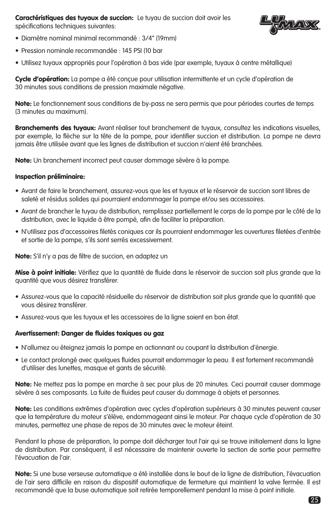Caractéristiques des tuyaux de succion: Le tuyau de succion doit avoir les spécifications techniques suivantes:



- Diamètre nominal minimal recommandé : 3/4" (19mm)
- Pression nominale recommandée : 145 PSI (10 bar
- Utilisez tuyaux appropriés pour l'opération à bas vide (par exemple, tuyaux à centre métallique)

Cycle d'opération: La pompe a été conçue pour utilisation intermittente et un cycle d'opération de 30 minutes sous conditions de pression maximale négative.

Note: Le fonctionnement sous conditions de by-pass ne sera permis que pour périodes courtes de temps (3 minutes au maximum).

Branchements des tuyaux: Avant réaliser tout branchement de tuyaux, consultez les indications visuelles, par exemple, la flèche sur la tête de la pompe, pour identifier succion et distribution. La pompe ne devra jamais être utilisée avant que les lignes de distribution et succion n'aient été branchées.

Note: Un branchement incorrect peut causer dommage sévère à la pompe.

#### Inspection préliminaire:

- Avant de faire le branchement, assurez-vous que les et tuyaux et le réservoir de succion sont libres de saleté et résidus solides qui pourraient endommager la pompe et/ou ses accessoires.
- Avant de brancher le tuyau de distribution, remplissez partiellement le corps de la pompe par le côté de la distribution, avec le liquide à être pompé, afin de faciliter la préparation.
- N'utilisez pas d'accessoires filetés coniques car ils pourraient endommager les ouvertures filetées d'entrée et sortie de la pompe, s'ils sont serrés excessivement.

Note: S'il n'y a pas de filtre de succion, en adaptez un

Mise à point initiale: Vérifiez que la quantité de fluide dans le réservoir de succion soit plus grande que la quantité que vous désirez transférer.

- Assurez-vous que la capacité résiduelle du réservoir de distribution soit plus grande que la quantité que vous désirez transférer.
- Assurez-vous que les tuyaux et les accessoires de la ligne soient en bon état.

#### Avertissement: Danger de fluides toxiques ou gaz

- N'allumez ou éteignez jamais la pompe en actionnant ou coupant la distribution d'énergie.
- Le contact prolongé avec quelques fluides pourrait endommager la peau. Il est fortement recommandé d'utiliser des lunettes, masque et gants de sécurité.

Note: Ne mettez pas la pompe en marche à sec pour plus de 20 minutes. Ceci pourrait causer dommage sévère à ses composants. La fuite de fluides peut causer du dommage à objets et personnes.

Note: Les conditions extrêmes d'opération avec cycles d'opération supérieurs à 30 minutes peuvent causer que la température du moteur s'élève, endommageant ainsi le moteur. Par chaque cycle d'opération de 30 minutes, permettez une phase de repos de 30 minutes avec le moteur éteint.

Pendant la phase de préparation, la pompe doit décharger tout l'air qui se trouve initialement dans la ligne de distribution. Par conséquent, il est nécessaire de maintenir ouverte la section de sortie pour permettre l'évacuation de l'air.

Note: Si une buse verseuse automatique a été installée dans le bout de la ligne de distribution, l'évacuation de l'air sera difficile en raison du dispositif automatique de fermeture qui maintient la valve fermée. Il est recommandé que la buse automatique soit retirée temporellement pendant la mise à point initiale.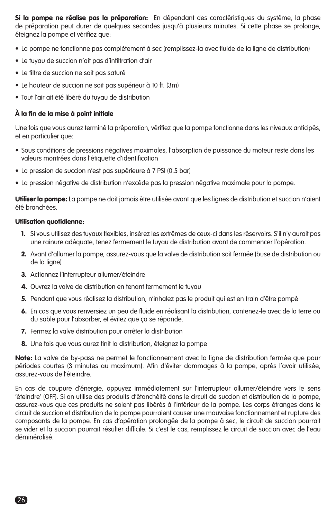Si la pompe ne réalise pas la préparation: En dépendant des caractéristiques du système, la phase de préparation peut durer de quelques secondes jusqu'à plusieurs minutes. Si cette phase se prolonge, éteignez la pompe et vérifiez que:

- La pompe ne fonctionne pas complètement à sec (remplissez-la avec fluide de la ligne de distribution)
- Le tuyau de succion n'ait pas d'infiltration d'air
- Le filtre de succion ne soit pas saturé
- Le hauteur de succion ne soit pas supérieur à 10 ft. (3m)
- Tout l'air ait été libéré du tuyau de distribution

# À la fin de la mise à point initiale

Une fois que vous aurez terminé la préparation, vérifiez que la pompe fonctionne dans les niveaux anticipés, et en particulier que:

- Sous conditions de pressions négatives maximales, l'absorption de puissance du moteur reste dans les valeurs montrées dans l'étiquette d'identification
- La pression de succion n'est pas supérieure à 7 PSI (0.5 bar)
- La pression négative de distribution n'excède pas la pression négative maximale pour la pompe.

Utiliser la pompe: La pompe ne doit jamais être utilisée avant que les lignes de distribution et succion n'aient été branchées.

# Utilisation quotidienne:

- 1. Si vous utilisez des tuyaux flexibles, insérez les extrêmes de ceux-ci dans les réservoirs. S'il n'y aurait pas une rainure adéquate, tenez fermement le tuyau de distribution avant de commencer l'opération.
- 2. Avant d'allumer la pompe, assurez-vous que la valve de distribution soit fermée (buse de distribution ou de la ligne)
- 3. Actionnez l'interrupteur allumer/éteindre
- 4. Ouvrez la valve de distribution en tenant fermement le tuyau
- 5. Pendant que vous réalisez la distribution, n'inhalez pas le produit qui est en train d'être pompé
- 6. En cas que vous renversiez un peu de fluide en réalisant la distribution, contenez-le avec de la terre ou du sable pour l'absorber, et évitez que ça se répande.
- 7. Fermez la valve distribution pour arrêter la distribution
- 8. Une fois que vous aurez finit la distribution, éteignez la pompe

Note: La valve de by-pass ne permet le fonctionnement avec la ligne de distribution fermée que pour périodes courtes (3 minutes au maximum). Afin d'éviter dommages à la pompe, après l'avoir utilisée, assurez-vous de l'éteindre.

En cas de coupure d'énergie, appuyez immédiatement sur l'interrupteur allumer/éteindre vers le sens 'éteindre' (OFF). Si on utilise des produits d'étanchéité dans le circuit de succion et distribution de la pompe, assurez-vous que ces produits ne soient pas libérés à l'intérieur de la pompe. Les corps étranges dans le circuit de succion et distribution de la pompe pourraient causer une mauvaise fonctionnement et rupture des composants de la pompe. En cas d'opération prolongée de la pompe à sec, le circuit de succion pourrait se vider et la succion pourrait résulter difficile. Si c'est le cas, remplissez le circuit de succion avec de l'eau déminéralisé.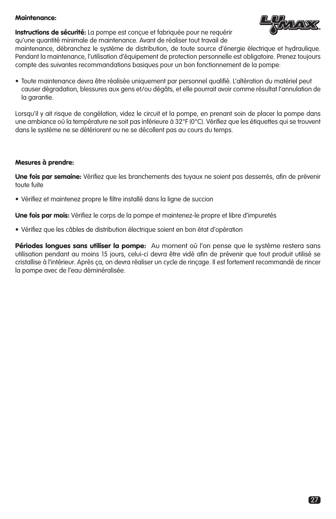### Maintenance:

Instructions de sécurité: La pompe est conçue et fabriquée pour ne requérir qu'une quantité minimale de maintenance. Avant de réaliser tout travail de



maintenance, débranchez le système de distribution, de toute source d'énergie électrique et hydraulique. Pendant la maintenance, l'utilisation d'équipement de protection personnelle est obligatoire. Prenez toujours compte des suivantes recommandations basiques pour un bon fonctionnement de la pompe:

• Toute maintenance devra être réalisée uniquement par personnel qualifié. L'altération du matériel peut causer dégradation, blessures aux gens et/ou dégâts, et elle pourrait avoir comme résultat l'annulation de la garantie.

Lorsqu'il y ait risque de congélation, videz le circuit et la pompe, en prenant soin de placer la pompe dans une ambiance où la température ne soit pas inférieure à 32°F (0°C). Vérifiez que les étiquettes qui se trouvent dans le système ne se détériorent ou ne se décollent pas au cours du temps.

## Mesures à prendre:

Une fois par semaine: Vérifiez que les branchements des tuyaux ne soient pas desserrés, afin de prévenir toute fuite

• Vérifiez et maintenez propre le filtre installé dans la ligne de succion

Une fois par mois: Vérifiez le corps de la pompe et maintenez-le propre et libre d'impuretés

• Vérifiez que les câbles de distribution électrique soient en bon état d'opération

Périodes longues sans utiliser la pompe: Au moment où l'on pense que le système restera sans utilisation pendant au moins 15 jours, celui-ci devra être vidé afin de prévenir que tout produit utilisé se cristallise à l'intérieur. Après ça, on devra réaliser un cycle de rinçage. Il est fortement recommandé de rincer la pompe avec de l'eau déminéralisée.